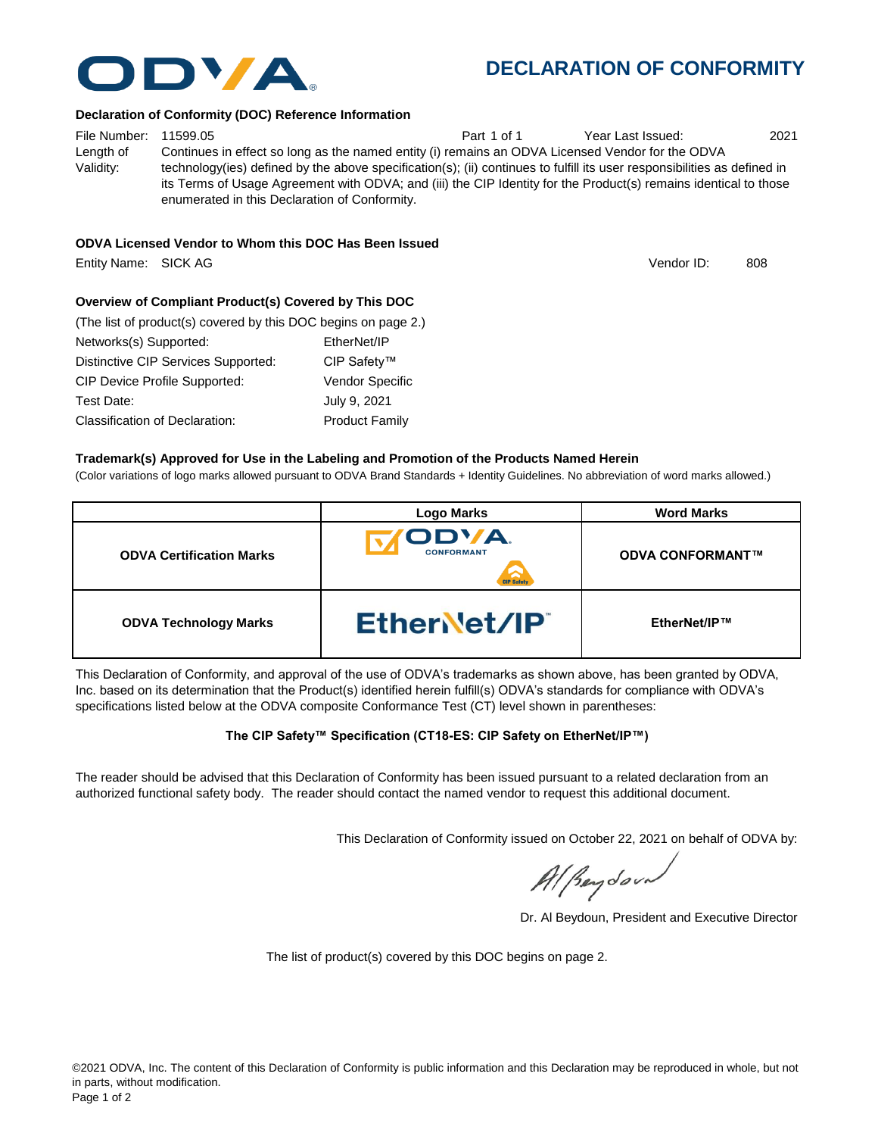

## **DECLARATION OF CONFORMITY**

#### **Declaration of Conformity (DOC) Reference Information**

File Number: 11599.05 **Part 1 of 1** Year Last Issued: 2021 Length of Validity: Continues in effect so long as the named entity (i) remains an ODVA Licensed Vendor for the ODVA technology(ies) defined by the above specification(s); (ii) continues to fulfill its user responsibilities as defined in its Terms of Usage Agreement with ODVA; and (iii) the CIP Identity for the Product(s) remains identical to those enumerated in this Declaration of Conformity.

#### **ODVA Licensed Vendor to Whom this DOC Has Been Issued**

Entity Name: SICK AG 808 and the state of the state of the state of the state of the state of the state of the state of the state of the state of the state of the state of the state of the state of the state of the state o

Vendor ID:

## **Overview of Compliant Product(s) Covered by This DOC**

| (The list of product(s) covered by this DOC begins on page 2.) |                        |  |  |
|----------------------------------------------------------------|------------------------|--|--|
| Networks(s) Supported:                                         | EtherNet/IP            |  |  |
| Distinctive CIP Services Supported:                            | CIP Safety™            |  |  |
| <b>CIP Device Profile Supported:</b>                           | <b>Vendor Specific</b> |  |  |
| Test Date:                                                     | July 9, 2021           |  |  |
| <b>Classification of Declaration:</b>                          | <b>Product Family</b>  |  |  |

#### **Trademark(s) Approved for Use in the Labeling and Promotion of the Products Named Herein**

(Color variations of logo marks allowed pursuant to ODVA Brand Standards + Identity Guidelines. No abbreviation of word marks allowed.)

|                                 | <b>Logo Marks</b>               | <b>Word Marks</b>       |
|---------------------------------|---------------------------------|-------------------------|
| <b>ODVA Certification Marks</b> | ODVA.<br><b>CONFORMANT</b><br>⌒ | <b>ODVA CONFORMANT™</b> |
| <b>ODVA Technology Marks</b>    | EtherNet/IP                     | EtherNet/IP™            |

This Declaration of Conformity, and approval of the use of ODVA's trademarks as shown above, has been granted by ODVA, Inc. based on its determination that the Product(s) identified herein fulfill(s) ODVA's standards for compliance with ODVA's specifications listed below at the ODVA composite Conformance Test (CT) level shown in parentheses:

#### **The CIP Safety™ Specification (CT18-ES: CIP Safety on EtherNet/IP™)**

The reader should be advised that this Declaration of Conformity has been issued pursuant to a related declaration from an authorized functional safety body. The reader should contact the named vendor to request this additional document.

This Declaration of Conformity issued on October 22, 2021 on behalf of ODVA by:

Al Beydoor

Dr. Al Beydoun, President and Executive Director

The list of product(s) covered by this DOC begins on page 2.